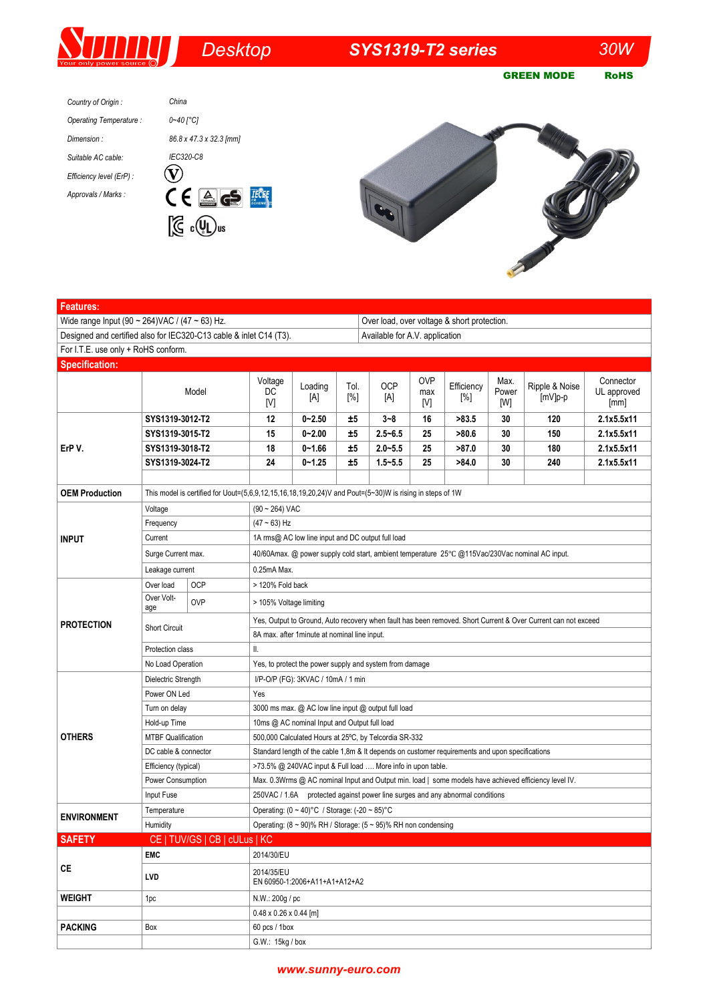## **SUI** *Desktop SYS1319-T2 series 30W*  GREEN MODE RoHS *Country of Origin : China*

| Operating Temperature:   | $0 - 40$ $\degree$ C1                                               |
|--------------------------|---------------------------------------------------------------------|
| Dimension:               | 86.8 x 47.3 x 32.3 [mm]                                             |
| Suitable AC cable:       | IEC320-C8                                                           |
| Efficiency level (ErP) : |                                                                     |
| Approvals / Marks :      | $\epsilon$ ( $\epsilon$ )<br>$\left  \frac{\Delta}{\omega} \right $ |





| <b>Features:</b>                    |                                                                                                                  |                               |                                                                                                               |                |             |             |                          |                   |                      |                             |                                  |  |
|-------------------------------------|------------------------------------------------------------------------------------------------------------------|-------------------------------|---------------------------------------------------------------------------------------------------------------|----------------|-------------|-------------|--------------------------|-------------------|----------------------|-----------------------------|----------------------------------|--|
|                                     | Wide range Input (90 ~ 264) VAC / (47 ~ 63) Hz.<br>Over load, over voltage & short protection.                   |                               |                                                                                                               |                |             |             |                          |                   |                      |                             |                                  |  |
|                                     | Designed and certified also for IEC320-C13 cable & inlet C14 (T3).<br>Available for A.V. application             |                               |                                                                                                               |                |             |             |                          |                   |                      |                             |                                  |  |
| For I.T.E. use only + RoHS conform. |                                                                                                                  |                               |                                                                                                               |                |             |             |                          |                   |                      |                             |                                  |  |
| <b>Specification:</b>               |                                                                                                                  |                               |                                                                                                               |                |             |             |                          |                   |                      |                             |                                  |  |
|                                     |                                                                                                                  | Model                         | Voltage<br>DC<br>[V]                                                                                          | Loading<br>[A] | Tol.<br>[%] | OCP<br>[A]  | <b>OVP</b><br>max<br>[V] | Efficiency<br>[%] | Max.<br>Power<br>[W] | Ripple & Noise<br>$[mV]p-p$ | Connector<br>UL approved<br>[mm] |  |
| ErP V.                              | SYS1319-3012-T2                                                                                                  |                               | 12                                                                                                            | $0 - 2.50$     | ±5          | 3~8         | 16                       | >83.5             | 30                   | 120                         | 2.1x5.5x11                       |  |
|                                     | SYS1319-3015-T2                                                                                                  |                               | 15                                                                                                            | $0 - 2.00$     | ±5          | $2.5 - 6.5$ | 25                       | >80.6             | 30                   | 150                         | 2.1x5.5x11                       |  |
|                                     | SYS1319-3018-T2                                                                                                  |                               | 18                                                                                                            | $0 - 1.66$     | ±5          | $2.0 - 5.5$ | 25                       | >87.0             | 30                   | 180                         | 2.1x5.5x11                       |  |
|                                     | SYS1319-3024-T2                                                                                                  |                               | 24                                                                                                            | $0 - 1.25$     | ±5          | $1.5 - 5.5$ | 25                       | >84.0             | 30                   | 240                         | 2.1x5.5x11                       |  |
|                                     |                                                                                                                  |                               |                                                                                                               |                |             |             |                          |                   |                      |                             |                                  |  |
| <b>OEM Production</b>               | This model is certified for Uout= $(5,6,9,12,15,16,18,19,20,24)$ V and Pout= $(5~30)$ W is rising in steps of 1W |                               |                                                                                                               |                |             |             |                          |                   |                      |                             |                                  |  |
|                                     | Voltage                                                                                                          |                               | $(90 \sim 264)$ VAC                                                                                           |                |             |             |                          |                   |                      |                             |                                  |  |
|                                     | Frequency                                                                                                        |                               | $(47 - 63)$ Hz                                                                                                |                |             |             |                          |                   |                      |                             |                                  |  |
| <b>INPUT</b>                        | Current                                                                                                          |                               | 1A rms@ AC low line input and DC output full load                                                             |                |             |             |                          |                   |                      |                             |                                  |  |
|                                     | Surge Current max.                                                                                               |                               | 40/60Amax. @ power supply cold start, ambient temperature 25°C @115Vac/230Vac nominal AC input.               |                |             |             |                          |                   |                      |                             |                                  |  |
|                                     | Leakage current                                                                                                  |                               | 0.25mA Max.                                                                                                   |                |             |             |                          |                   |                      |                             |                                  |  |
| <b>PROTECTION</b>                   | Over load<br>Over Volt-                                                                                          | <b>OCP</b>                    | > 120% Fold back                                                                                              |                |             |             |                          |                   |                      |                             |                                  |  |
|                                     | age                                                                                                              | <b>OVP</b>                    | > 105% Voltage limiting                                                                                       |                |             |             |                          |                   |                      |                             |                                  |  |
|                                     | <b>Short Circuit</b>                                                                                             |                               | Yes, Output to Ground, Auto recovery when fault has been removed. Short Current & Over Current can not exceed |                |             |             |                          |                   |                      |                             |                                  |  |
|                                     |                                                                                                                  |                               | 8A max. after 1 minute at nominal line input.<br>II.                                                          |                |             |             |                          |                   |                      |                             |                                  |  |
|                                     | Protection class<br>No Load Operation                                                                            |                               |                                                                                                               |                |             |             |                          |                   |                      |                             |                                  |  |
|                                     |                                                                                                                  |                               | Yes, to protect the power supply and system from damage                                                       |                |             |             |                          |                   |                      |                             |                                  |  |
|                                     | Dielectric Strength                                                                                              |                               | I/P-O/P (FG): 3KVAC / 10mA / 1 min<br>Yes                                                                     |                |             |             |                          |                   |                      |                             |                                  |  |
|                                     | Power ON Led                                                                                                     |                               | 3000 ms max. @ AC low line input @ output full load                                                           |                |             |             |                          |                   |                      |                             |                                  |  |
|                                     | Turn on delay<br>Hold-up Time                                                                                    |                               | 10ms @ AC nominal Input and Output full load                                                                  |                |             |             |                          |                   |                      |                             |                                  |  |
| <b>OTHERS</b>                       | <b>MTBF Qualification</b>                                                                                        |                               | 500,000 Calculated Hours at 25°C, by Telcordia SR-332                                                         |                |             |             |                          |                   |                      |                             |                                  |  |
|                                     | DC cable & connector                                                                                             |                               | Standard length of the cable 1,8m & It depends on customer requirements and upon specifications               |                |             |             |                          |                   |                      |                             |                                  |  |
|                                     | Efficiency (typical)                                                                                             |                               | >73.5% @ 240VAC input & Full load  More info in upon table.                                                   |                |             |             |                          |                   |                      |                             |                                  |  |
|                                     | Power Consumption                                                                                                |                               | Max. 0.3Wrms @ AC nominal Input and Output min. load   some models have achieved efficiency level IV.         |                |             |             |                          |                   |                      |                             |                                  |  |
|                                     | Input Fuse                                                                                                       |                               | 250VAC / 1.6A protected against power line surges and any abnormal conditions                                 |                |             |             |                          |                   |                      |                             |                                  |  |
| <b>ENVIRONMENT</b>                  | Temperature                                                                                                      |                               | Operating: (0 ~ 40)°C / Storage: (-20 ~ 85)°C                                                                 |                |             |             |                          |                   |                      |                             |                                  |  |
|                                     | Humidity                                                                                                         |                               | Operating: $(8 \sim 90)$ % RH / Storage: $(5 \sim 95)$ % RH non condensing                                    |                |             |             |                          |                   |                      |                             |                                  |  |
| <b>SAFETY</b>                       |                                                                                                                  | CE   TUV/GS   CB   cULus   KC |                                                                                                               |                |             |             |                          |                   |                      |                             |                                  |  |
|                                     | <b>EMC</b>                                                                                                       |                               | 2014/30/EU                                                                                                    |                |             |             |                          |                   |                      |                             |                                  |  |
| CE                                  | LVD                                                                                                              |                               | 2014/35/EU<br>EN 60950-1:2006+A11+A1+A12+A2                                                                   |                |             |             |                          |                   |                      |                             |                                  |  |
| WEIGHT                              | N.W.: 200g / pc<br>1pc                                                                                           |                               |                                                                                                               |                |             |             |                          |                   |                      |                             |                                  |  |
|                                     |                                                                                                                  |                               | $0.48 \times 0.26 \times 0.44$ [m]                                                                            |                |             |             |                          |                   |                      |                             |                                  |  |
| <b>PACKING</b>                      | Box                                                                                                              | 60 pcs / 1box                 |                                                                                                               |                |             |             |                          |                   |                      |                             |                                  |  |
|                                     |                                                                                                                  |                               | G.W.: 15kg / box                                                                                              |                |             |             |                          |                   |                      |                             |                                  |  |